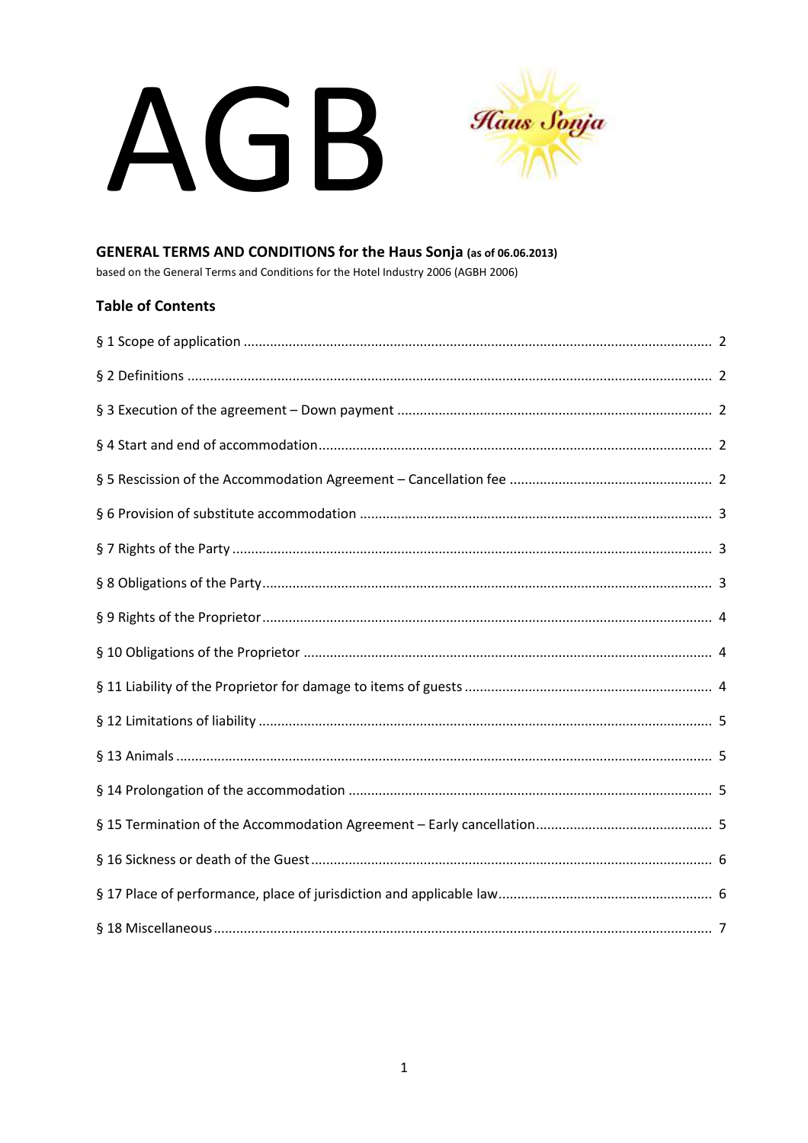# AGB



# GENERAL TERMS AND CONDITIONS for the Haus Sonja (as of 06.06.2013)

based on the General Terms and Conditions for the Hotel Industry 2006 (AGBH 2006)

## **Table of Contents**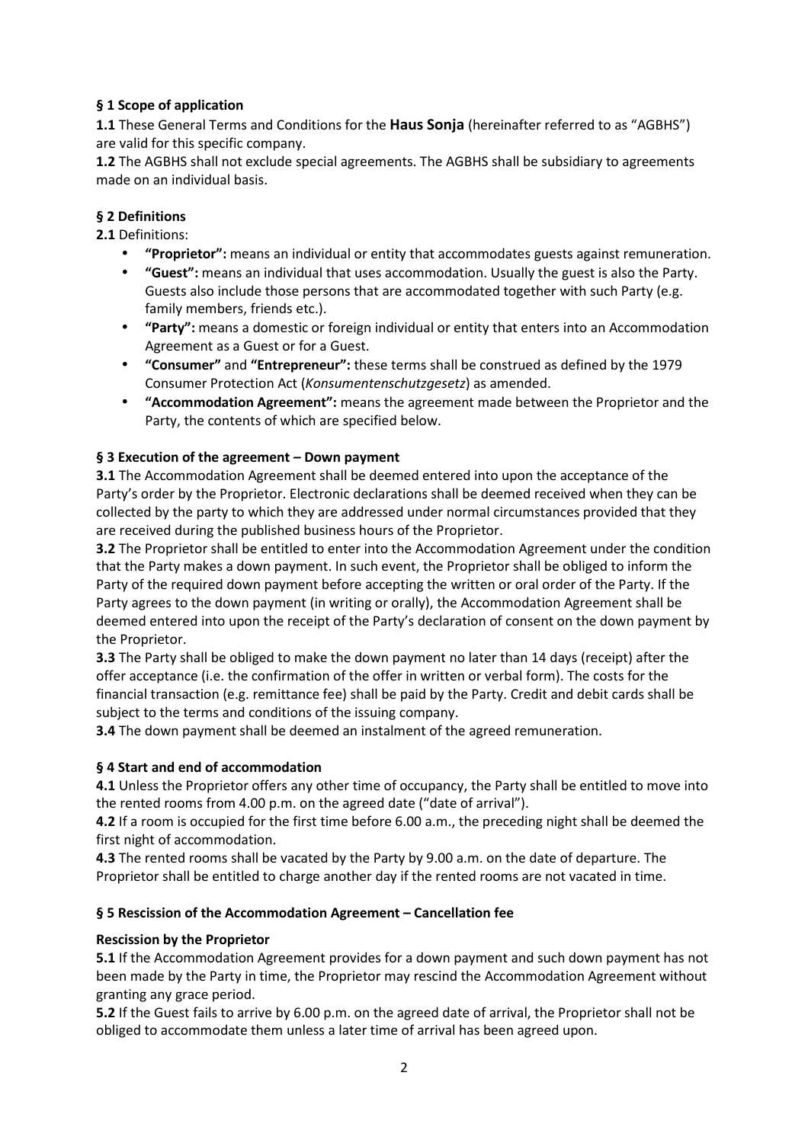# **§ 1 Scope of application**

**1.1** These General Terms and Conditions for the **Haus Sonja** (hereinafter referred to as "AGBHS") are valid for this specific company.

**1.2** The AGBHS shall not exclude special agreements. The AGBHS shall be subsidiary to agreements made on an individual basis.

# **§ 2 Definitions**

# **2.1** Definitions:

- **"Proprietor":** means an individual or entity that accommodates guests against remuneration.
- **"Guest":** means an individual that uses accommodation. Usually the guest is also the Party. Guests also include those persons that are accommodated together with such Party (e.g. family members, friends etc.).
- **"Party":** means a domestic or foreign individual or entity that enters into an Accommodation Agreement as a Guest or for a Guest.
- **"Consumer"** and **"Entrepreneur":** these terms shall be construed as defined by the 1979 Consumer Protection Act (*Konsumentenschutzgesetz*) as amended.
- **"Accommodation Agreement":** means the agreement made between the Proprietor and the Party, the contents of which are specified below.

### **§ 3 Execution of the agreement – Down payment**

**3.1** The Accommodation Agreement shall be deemed entered into upon the acceptance of the Party's order by the Proprietor. Electronic declarations shall be deemed received when they can be collected by the party to which they are addressed under normal circumstances provided that they are received during the published business hours of the Proprietor.

**3.2** The Proprietor shall be entitled to enter into the Accommodation Agreement under the condition that the Party makes a down payment. In such event, the Proprietor shall be obliged to inform the Party of the required down payment before accepting the written or oral order of the Party. If the Party agrees to the down payment (in writing or orally), the Accommodation Agreement shall be deemed entered into upon the receipt of the Party's declaration of consent on the down payment by the Proprietor.

**3.3** The Party shall be obliged to make the down payment no later than 14 days (receipt) after the offer acceptance (i.e. the confirmation of the offer in written or verbal form). The costs for the financial transaction (e.g. remittance fee) shall be paid by the Party. Credit and debit cards shall be subject to the terms and conditions of the issuing company.

**3.4** The down payment shall be deemed an instalment of the agreed remuneration.

#### **§ 4 Start and end of accommodation**

**4.1** Unless the Proprietor offers any other time of occupancy, the Party shall be entitled to move into the rented rooms from 4.00 p.m. on the agreed date ("date of arrival").

**4.2** If a room is occupied for the first time before 6.00 a.m., the preceding night shall be deemed the first night of accommodation.

**4.3** The rented rooms shall be vacated by the Party by 9.00 a.m. on the date of departure. The Proprietor shall be entitled to charge another day if the rented rooms are not vacated in time.

#### **§ 5 Rescission of the Accommodation Agreement – Cancellation fee**

#### **Rescission by the Proprietor**

**5.1** If the Accommodation Agreement provides for a down payment and such down payment has not been made by the Party in time, the Proprietor may rescind the Accommodation Agreement without granting any grace period.

**5.2** If the Guest fails to arrive by 6.00 p.m. on the agreed date of arrival, the Proprietor shall not be obliged to accommodate them unless a later time of arrival has been agreed upon.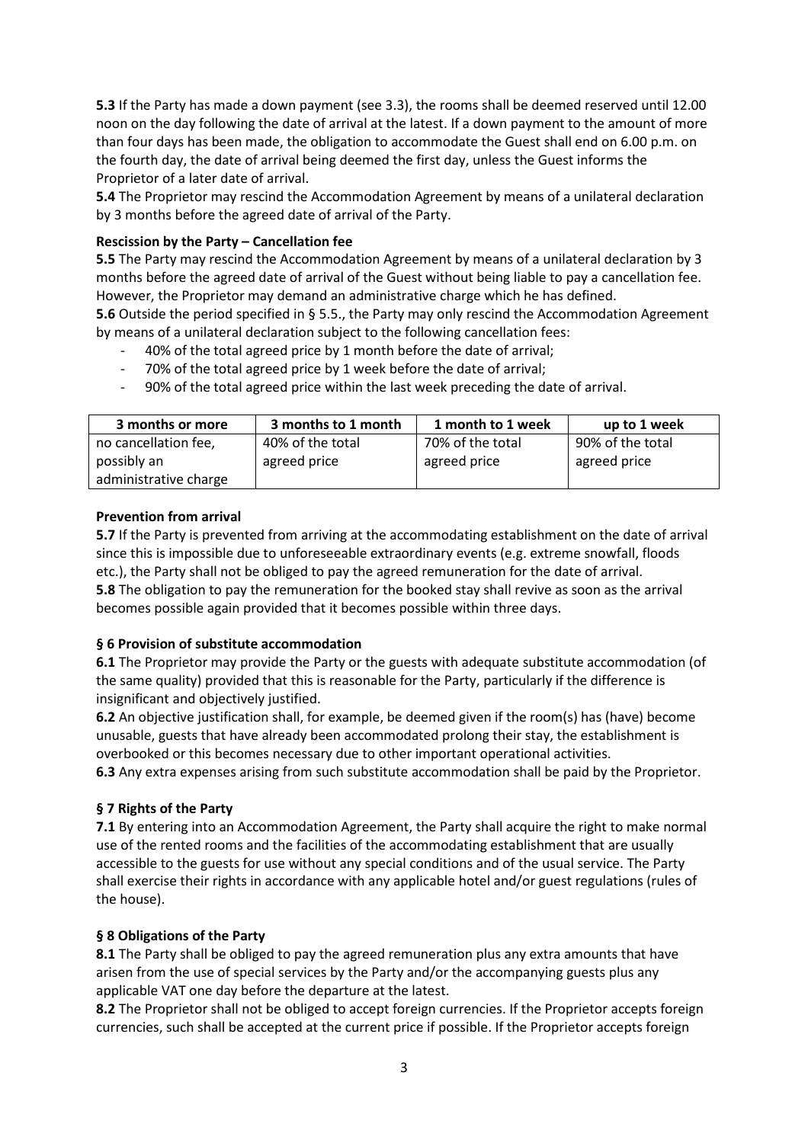**5.3** If the Party has made a down payment (see 3.3), the rooms shall be deemed reserved until 12.00 noon on the day following the date of arrival at the latest. If a down payment to the amount of more than four days has been made, the obligation to accommodate the Guest shall end on 6.00 p.m. on the fourth day, the date of arrival being deemed the first day, unless the Guest informs the Proprietor of a later date of arrival.

**5.4** The Proprietor may rescind the Accommodation Agreement by means of a unilateral declaration by 3 months before the agreed date of arrival of the Party.

## **Rescission by the Party – Cancellation fee**

**5.5** The Party may rescind the Accommodation Agreement by means of a unilateral declaration by 3 months before the agreed date of arrival of the Guest without being liable to pay a cancellation fee. However, the Proprietor may demand an administrative charge which he has defined.

**5.6** Outside the period specified in § 5.5., the Party may only rescind the Accommodation Agreement by means of a unilateral declaration subject to the following cancellation fees:

- 40% of the total agreed price by 1 month before the date of arrival;
- 70% of the total agreed price by 1 week before the date of arrival;
- 90% of the total agreed price within the last week preceding the date of arrival.

| 3 months or more      | 3 months to 1 month | 1 month to 1 week | up to 1 week     |
|-----------------------|---------------------|-------------------|------------------|
| no cancellation fee,  | 40% of the total    | 70% of the total  | 90% of the total |
| possibly an           | agreed price        | agreed price      | agreed price     |
| administrative charge |                     |                   |                  |

#### **Prevention from arrival**

**5.7** If the Party is prevented from arriving at the accommodating establishment on the date of arrival since this is impossible due to unforeseeable extraordinary events (e.g. extreme snowfall, floods etc.), the Party shall not be obliged to pay the agreed remuneration for the date of arrival. **5.8** The obligation to pay the remuneration for the booked stay shall revive as soon as the arrival becomes possible again provided that it becomes possible within three days.

#### **§ 6 Provision of substitute accommodation**

**6.1** The Proprietor may provide the Party or the guests with adequate substitute accommodation (of the same quality) provided that this is reasonable for the Party, particularly if the difference is insignificant and objectively justified.

**6.2** An objective justification shall, for example, be deemed given if the room(s) has (have) become unusable, guests that have already been accommodated prolong their stay, the establishment is overbooked or this becomes necessary due to other important operational activities. **6.3** Any extra expenses arising from such substitute accommodation shall be paid by the Proprietor.

#### **§ 7 Rights of the Party**

**7.1** By entering into an Accommodation Agreement, the Party shall acquire the right to make normal use of the rented rooms and the facilities of the accommodating establishment that are usually accessible to the guests for use without any special conditions and of the usual service. The Party shall exercise their rights in accordance with any applicable hotel and/or guest regulations (rules of the house).

#### **§ 8 Obligations of the Party**

**8.1** The Party shall be obliged to pay the agreed remuneration plus any extra amounts that have arisen from the use of special services by the Party and/or the accompanying guests plus any applicable VAT one day before the departure at the latest.

**8.2** The Proprietor shall not be obliged to accept foreign currencies. If the Proprietor accepts foreign currencies, such shall be accepted at the current price if possible. If the Proprietor accepts foreign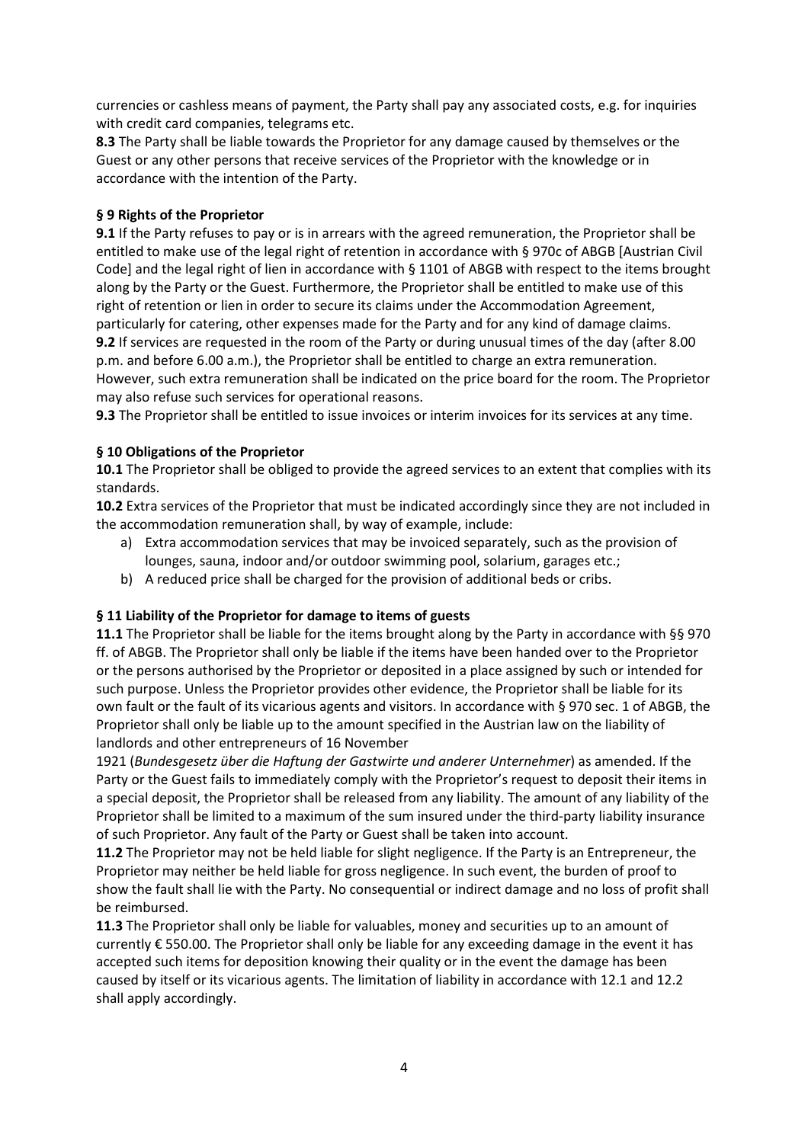currencies or cashless means of payment, the Party shall pay any associated costs, e.g. for inquiries with credit card companies, telegrams etc.

**8.3** The Party shall be liable towards the Proprietor for any damage caused by themselves or the Guest or any other persons that receive services of the Proprietor with the knowledge or in accordance with the intention of the Party.

# **§ 9 Rights of the Proprietor**

**9.1** If the Party refuses to pay or is in arrears with the agreed remuneration, the Proprietor shall be entitled to make use of the legal right of retention in accordance with § 970c of ABGB [Austrian Civil Code] and the legal right of lien in accordance with § 1101 of ABGB with respect to the items brought along by the Party or the Guest. Furthermore, the Proprietor shall be entitled to make use of this right of retention or lien in order to secure its claims under the Accommodation Agreement, particularly for catering, other expenses made for the Party and for any kind of damage claims. **9.2** If services are requested in the room of the Party or during unusual times of the day (after 8.00

p.m. and before 6.00 a.m.), the Proprietor shall be entitled to charge an extra remuneration. However, such extra remuneration shall be indicated on the price board for the room. The Proprietor may also refuse such services for operational reasons.

**9.3** The Proprietor shall be entitled to issue invoices or interim invoices for its services at any time.

# **§ 10 Obligations of the Proprietor**

**10.1** The Proprietor shall be obliged to provide the agreed services to an extent that complies with its standards.

**10.2** Extra services of the Proprietor that must be indicated accordingly since they are not included in the accommodation remuneration shall, by way of example, include:

- a) Extra accommodation services that may be invoiced separately, such as the provision of lounges, sauna, indoor and/or outdoor swimming pool, solarium, garages etc.;
- b) A reduced price shall be charged for the provision of additional beds or cribs.

## **§ 11 Liability of the Proprietor for damage to items of guests**

**11.1** The Proprietor shall be liable for the items brought along by the Party in accordance with §§ 970 ff. of ABGB. The Proprietor shall only be liable if the items have been handed over to the Proprietor or the persons authorised by the Proprietor or deposited in a place assigned by such or intended for such purpose. Unless the Proprietor provides other evidence, the Proprietor shall be liable for its own fault or the fault of its vicarious agents and visitors. In accordance with § 970 sec. 1 of ABGB, the Proprietor shall only be liable up to the amount specified in the Austrian law on the liability of landlords and other entrepreneurs of 16 November

1921 (*Bundesgesetz über die Haftung der Gastwirte und anderer Unternehmer*) as amended. If the Party or the Guest fails to immediately comply with the Proprietor's request to deposit their items in a special deposit, the Proprietor shall be released from any liability. The amount of any liability of the Proprietor shall be limited to a maximum of the sum insured under the third-party liability insurance of such Proprietor. Any fault of the Party or Guest shall be taken into account.

**11.2** The Proprietor may not be held liable for slight negligence. If the Party is an Entrepreneur, the Proprietor may neither be held liable for gross negligence. In such event, the burden of proof to show the fault shall lie with the Party. No consequential or indirect damage and no loss of profit shall be reimbursed.

**11.3** The Proprietor shall only be liable for valuables, money and securities up to an amount of currently € 550.00. The Proprietor shall only be liable for any exceeding damage in the event it has accepted such items for deposition knowing their quality or in the event the damage has been caused by itself or its vicarious agents. The limitation of liability in accordance with 12.1 and 12.2 shall apply accordingly.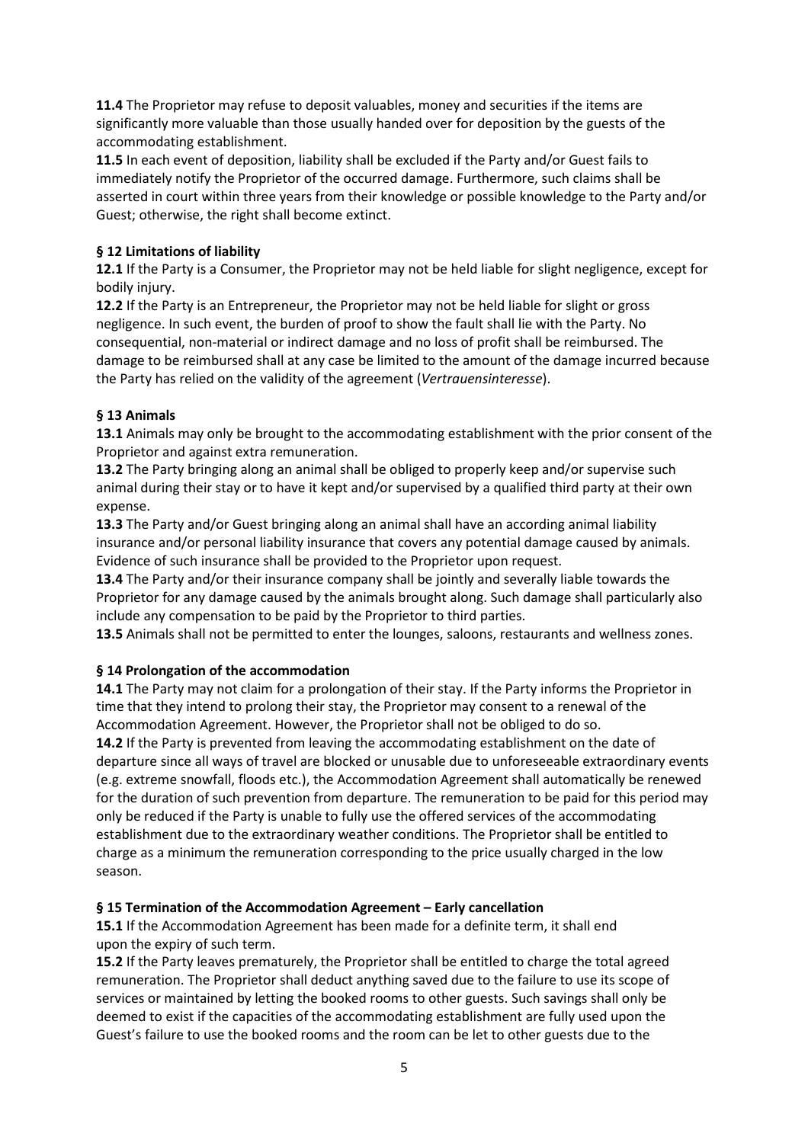**11.4** The Proprietor may refuse to deposit valuables, money and securities if the items are significantly more valuable than those usually handed over for deposition by the guests of the accommodating establishment.

**11.5** In each event of deposition, liability shall be excluded if the Party and/or Guest fails to immediately notify the Proprietor of the occurred damage. Furthermore, such claims shall be asserted in court within three years from their knowledge or possible knowledge to the Party and/or Guest; otherwise, the right shall become extinct.

# **§ 12 Limitations of liability**

**12.1** If the Party is a Consumer, the Proprietor may not be held liable for slight negligence, except for bodily injury.

**12.2** If the Party is an Entrepreneur, the Proprietor may not be held liable for slight or gross negligence. In such event, the burden of proof to show the fault shall lie with the Party. No consequential, non-material or indirect damage and no loss of profit shall be reimbursed. The damage to be reimbursed shall at any case be limited to the amount of the damage incurred because the Party has relied on the validity of the agreement (*Vertrauensinteresse*).

# **§ 13 Animals**

**13.1** Animals may only be brought to the accommodating establishment with the prior consent of the Proprietor and against extra remuneration.

**13.2** The Party bringing along an animal shall be obliged to properly keep and/or supervise such animal during their stay or to have it kept and/or supervised by a qualified third party at their own expense.

**13.3** The Party and/or Guest bringing along an animal shall have an according animal liability insurance and/or personal liability insurance that covers any potential damage caused by animals. Evidence of such insurance shall be provided to the Proprietor upon request.

**13.4** The Party and/or their insurance company shall be jointly and severally liable towards the Proprietor for any damage caused by the animals brought along. Such damage shall particularly also include any compensation to be paid by the Proprietor to third parties.

**13.5** Animals shall not be permitted to enter the lounges, saloons, restaurants and wellness zones.

## **§ 14 Prolongation of the accommodation**

**14.1** The Party may not claim for a prolongation of their stay. If the Party informs the Proprietor in time that they intend to prolong their stay, the Proprietor may consent to a renewal of the Accommodation Agreement. However, the Proprietor shall not be obliged to do so.

**14.2** If the Party is prevented from leaving the accommodating establishment on the date of departure since all ways of travel are blocked or unusable due to unforeseeable extraordinary events (e.g. extreme snowfall, floods etc.), the Accommodation Agreement shall automatically be renewed for the duration of such prevention from departure. The remuneration to be paid for this period may only be reduced if the Party is unable to fully use the offered services of the accommodating establishment due to the extraordinary weather conditions. The Proprietor shall be entitled to charge as a minimum the remuneration corresponding to the price usually charged in the low season.

## **§ 15 Termination of the Accommodation Agreement – Early cancellation**

**15.1** If the Accommodation Agreement has been made for a definite term, it shall end upon the expiry of such term.

**15.2** If the Party leaves prematurely, the Proprietor shall be entitled to charge the total agreed remuneration. The Proprietor shall deduct anything saved due to the failure to use its scope of services or maintained by letting the booked rooms to other guests. Such savings shall only be deemed to exist if the capacities of the accommodating establishment are fully used upon the Guest's failure to use the booked rooms and the room can be let to other guests due to the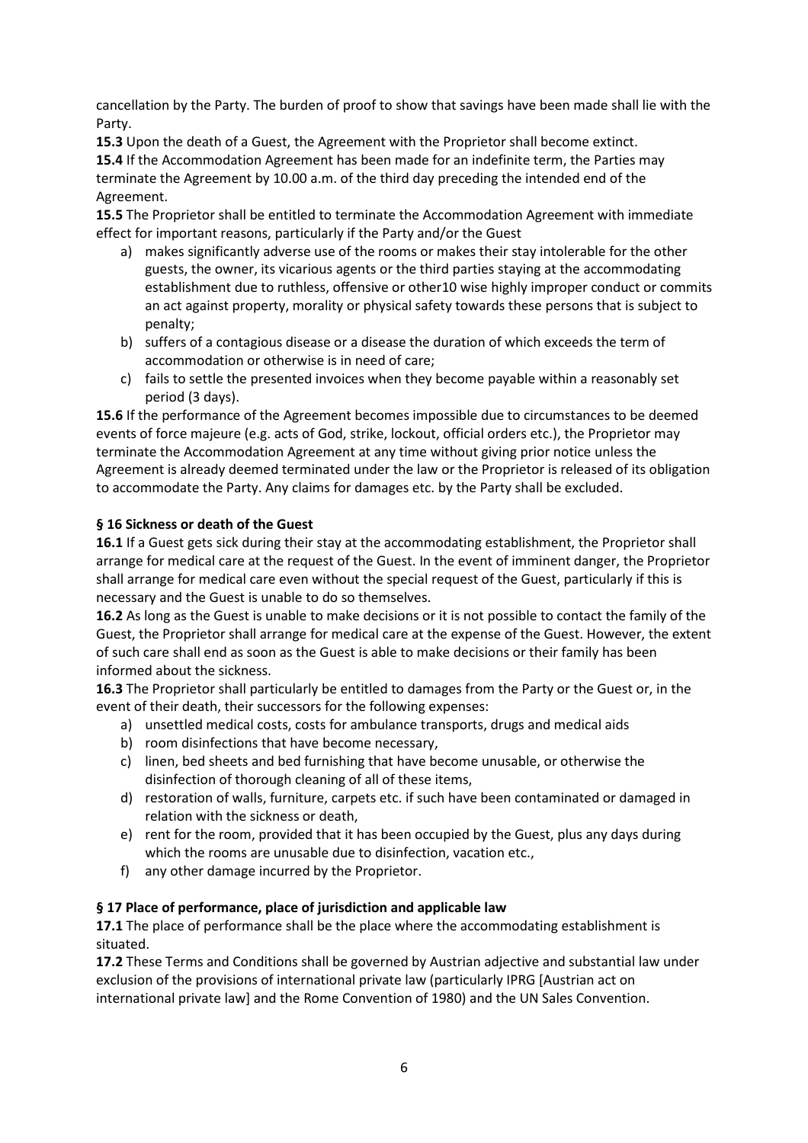cancellation by the Party. The burden of proof to show that savings have been made shall lie with the Party.

**15.3** Upon the death of a Guest, the Agreement with the Proprietor shall become extinct. **15.4** If the Accommodation Agreement has been made for an indefinite term, the Parties may terminate the Agreement by 10.00 a.m. of the third day preceding the intended end of the Agreement.

**15.5** The Proprietor shall be entitled to terminate the Accommodation Agreement with immediate effect for important reasons, particularly if the Party and/or the Guest

- a) makes significantly adverse use of the rooms or makes their stay intolerable for the other guests, the owner, its vicarious agents or the third parties staying at the accommodating establishment due to ruthless, offensive or other10 wise highly improper conduct or commits an act against property, morality or physical safety towards these persons that is subject to penalty;
- b) suffers of a contagious disease or a disease the duration of which exceeds the term of accommodation or otherwise is in need of care;
- c) fails to settle the presented invoices when they become payable within a reasonably set period (3 days).

**15.6** If the performance of the Agreement becomes impossible due to circumstances to be deemed events of force majeure (e.g. acts of God, strike, lockout, official orders etc.), the Proprietor may terminate the Accommodation Agreement at any time without giving prior notice unless the Agreement is already deemed terminated under the law or the Proprietor is released of its obligation to accommodate the Party. Any claims for damages etc. by the Party shall be excluded.

# **§ 16 Sickness or death of the Guest**

**16.1** If a Guest gets sick during their stay at the accommodating establishment, the Proprietor shall arrange for medical care at the request of the Guest. In the event of imminent danger, the Proprietor shall arrange for medical care even without the special request of the Guest, particularly if this is necessary and the Guest is unable to do so themselves.

**16.2** As long as the Guest is unable to make decisions or it is not possible to contact the family of the Guest, the Proprietor shall arrange for medical care at the expense of the Guest. However, the extent of such care shall end as soon as the Guest is able to make decisions or their family has been informed about the sickness.

**16.3** The Proprietor shall particularly be entitled to damages from the Party or the Guest or, in the event of their death, their successors for the following expenses:

- a) unsettled medical costs, costs for ambulance transports, drugs and medical aids
- b) room disinfections that have become necessary,
- c) linen, bed sheets and bed furnishing that have become unusable, or otherwise the disinfection of thorough cleaning of all of these items,
- d) restoration of walls, furniture, carpets etc. if such have been contaminated or damaged in relation with the sickness or death,
- e) rent for the room, provided that it has been occupied by the Guest, plus any days during which the rooms are unusable due to disinfection, vacation etc.,
- f) any other damage incurred by the Proprietor.

## **§ 17 Place of performance, place of jurisdiction and applicable law**

**17.1** The place of performance shall be the place where the accommodating establishment is situated.

**17.2** These Terms and Conditions shall be governed by Austrian adjective and substantial law under exclusion of the provisions of international private law (particularly IPRG [Austrian act on international private law] and the Rome Convention of 1980) and the UN Sales Convention.